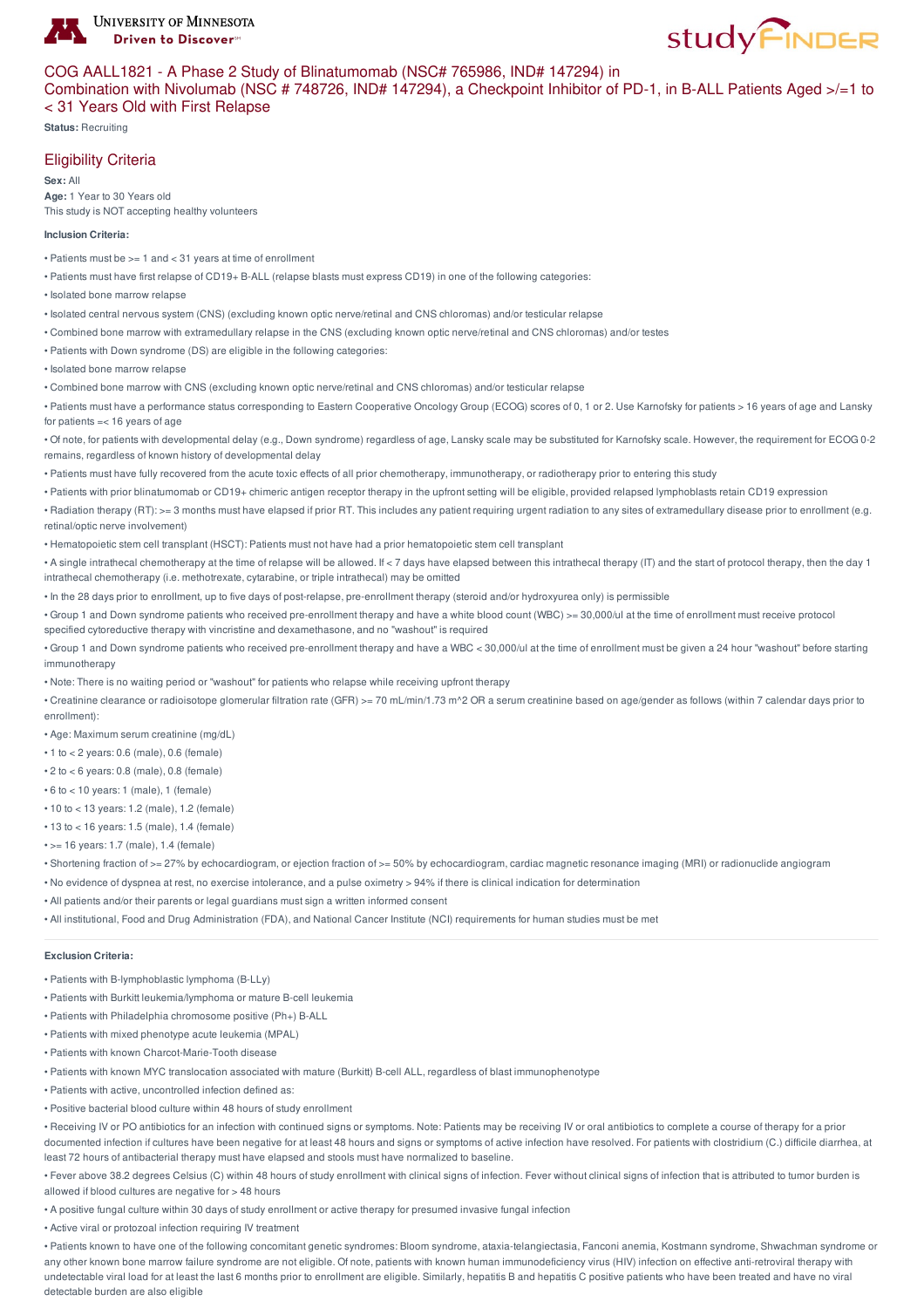

# **study FINDER**

# COG AALL1821 - A Phase 2 Study of Blinatumomab (NSC# 765986, IND# 147294) in

Combination with Nivolumab (NSC # 748726, IND# 147294), a Checkpoint Inhibitor of PD-1, in B-ALL Patients Aged >/=1 to < 31 Years Old with First Relapse

**Status:** Recruiting

# Eligibility Criteria

**Sex:** All **Age:** 1 Year to 30 Years old This study is NOT accepting healthy volunteers

#### **Inclusion Criteria:**

- Patients must be >= 1 and < 31 years at time of enrollment
- Patients must have first relapse of CD19+ B-ALL (relapse blasts must express CD19) in one of the following categories:
- Isolated bone marrow relapse
- Isolated central nervous system (CNS) (excluding known optic nerve/retinal and CNS chloromas) and/or testicular relapse
- Combined bone marrow with extramedullary relapse in the CNS (excluding known optic nerve/retinal and CNS chloromas) and/or testes
- Patients with Down syndrome (DS) are eligible in the following categories:
- Isolated bone marrow relapse
- Combined bone marrow with CNS (excluding known optic nerve/retinal and CNS chloromas) and/or testicular relapse

• Patients must have a performance status corresponding to Eastern Cooperative Oncology Group (ECOG) scores of 0, 1 or 2. Use Karnofsky for patients > 16 years of age and Lansky for patients =< 16 years of age

• Of note, for patients with developmental delay (e.g., Down syndrome) regardless of age, Lansky scale may be substituted for Karnofsky scale. However, the requirement for ECOG 0-2 remains, regardless of known history of developmental delay

• Patients must have fully recovered from the acute toxic effects of all prior chemotherapy, immunotherapy, or radiotherapy prior to entering this study

• Patients with prior blinatumomab or CD19+ chimeric antigen receptor therapy in the upfront setting will be eligible, provided relapsed lymphoblasts retain CD19 expression

• Radiation therapy (RT): >= 3 months must have elapsed if prior RT. This includes any patient requiring urgent radiation to any sites of extramedullary disease prior to enrollment (e.g. retinal/optic nerve involvement)

• Hematopoietic stem cell transplant (HSCT): Patients must not have had a prior hematopoietic stem cell transplant

• A single intrathecal chemotherapy at the time of relapse will be allowed. If < 7 days have elapsed between this intrathecal therapy (IT) and the start of protocol therapy, then the day 1 intrathecal chemotherapy (i.e. methotrexate, cytarabine, or triple intrathecal) may be omitted

• In the 28 days prior to enrollment, up to five days of post-relapse, pre-enrollment therapy (steroid and/or hydroxyurea only) is permissible

• Group 1 and Down syndrome patients who received pre-enrollment therapy and have a white blood count (WBC) >= 30,000/ul at the time of enrollment must receive protocol specified cytoreductive therapy with vincristine and dexamethasone, and no "washout" is required

• Group 1 and Down syndrome patients who received pre-enrollment therapy and have a WBC < 30,000/ul at the time of enrollment must be given a 24 hour "washout" before starting immunotherapy

• Note: There is no waiting period or "washout" for patients who relapse while receiving upfront therapy

• Creatinine clearance or radioisotope glomerular filtration rate (GFR) >= 70 mL/min/1.73 m^2 OR a serum creatinine based on age/gender as follows (within 7 calendar days prior to enrollment):

- Age: Maximum serum creatinine (mg/dL)
- 1 to < 2 years: 0.6 (male), 0.6 (female)
- $\cdot$  2 to  $<$  6 years: 0.8 (male), 0.8 (female)
- 6 to < 10 years: 1 (male), 1 (female)
- 10 to < 13 years: 1.2 (male), 1.2 (female)
- 13 to < 16 years: 1.5 (male), 1.4 (female)
- >= 16 years: 1.7 (male), 1.4 (female)
- Shortening fraction of >= 27% by echocardiogram, or ejection fraction of >= 50% by echocardiogram, cardiac magnetic resonance imaging (MRI) or radionuclide angiogram
- No evidence of dyspnea at rest, no exercise intolerance, and a pulse oximetry > 94% if there is clinical indication for determination
- All patients and/or their parents or legal guardians must sign a written informed consent
- All institutional, Food and Drug Administration (FDA), and National Cancer Institute (NCI) requirements for human studies must be met

#### **Exclusion Criteria:**

- Patients with B-lymphoblastic lymphoma (B-LLy)
- Patients with Burkitt leukemia/lymphoma or mature B-cell leukemia
- Patients with Philadelphia chromosome positive (Ph+) B-ALL
- Patients with mixed phenotype acute leukemia (MPAL)
- Patients with known Charcot-Marie-Tooth disease
- Patients with known MYC translocation associated with mature (Burkitt) B-cell ALL, regardless of blast immunophenotype
- Patients with active, uncontrolled infection defined as:
- Positive bacterial blood culture within 48 hours of study enrollment

• Receiving IV or PO antibiotics for an infection with continued signs or symptoms. Note: Patients may be receiving IV or oral antibiotics to complete a course of therapy for a prior documented infection if cultures have been negative for at least 48 hours and signs or symptoms of active infection have resolved. For patients with clostridium (C.) difficile diarrhea, at least 72 hours of antibacterial therapy must have elapsed and stools must have normalized to baseline.

• Fever above 38.2 degrees Celsius (C) within 48 hours of study enrollment with clinical signs of infection. Fever without clinical signs of infection that is attributed to tumor burden is allowed if blood cultures are negative for > 48 hours

• A positive fungal culture within 30 days of study enrollment or active therapy for presumed invasive fungal infection

• Active viral or protozoal infection requiring IV treatment

• Patients known to have one of the following concomitant genetic syndromes: Bloom syndrome, ataxia-telangiectasia, Fanconi anemia, Kostmann syndrome, Shwachman syndrome or any other known bone marrow failure syndrome are not eligible. Of note, patients with known human immunodeficiency virus (HIV) infection on effective anti-retroviral therapy with undetectable viral load for at least the last 6 months prior to enrollment are eligible. Similarly, hepatitis B and hepatitis C positive patients who have been treated and have no viral detectable burden are also eligible